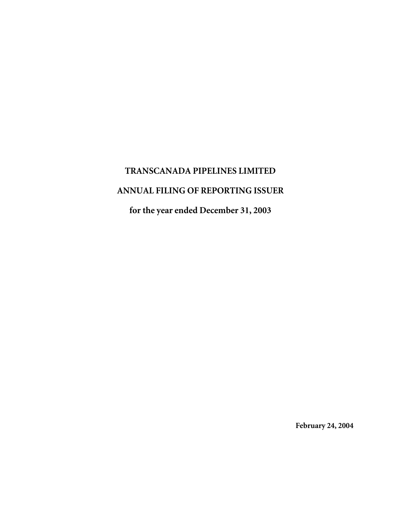# **TRANSCANADA PIPELINES LIMITED ANNUAL FILING OF REPORTING ISSUER for the year ended December 31, 2003**

**February 24, 2004**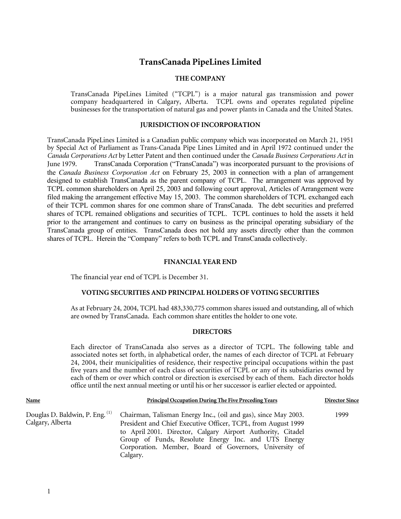# **TransCanada PipeLines Limited**

## **THE COMPANY**

TransCanada PipeLines Limited ("TCPL") is a major natural gas transmission and power company headquartered in Calgary, Alberta. TCPL owns and operates regulated pipeline businesses for the transportation of natural gas and power plants in Canada and the United States.

## **JURISDICTION OF INCORPORATION**

TransCanada PipeLines Limited is a Canadian public company which was incorporated on March 21, 1951 by Special Act of Parliament as Trans-Canada Pipe Lines Limited and in April 1972 continued under the *Canada Corporations Act* by Letter Patent and then continued under the *Canada Business Corporations Act* in June 1979. TransCanada Corporation ("TransCanada") was incorporated pursuant to the provisions of the *Canada Business Corporation Act* on February 25, 2003 in connection with a plan of arrangement designed to establish TransCanada as the parent company of TCPL. The arrangement was approved by TCPL common shareholders on April 25, 2003 and following court approval, Articles of Arrangement were filed making the arrangement effective May 15, 2003. The common shareholders of TCPL exchanged each of their TCPL common shares for one common share of TransCanada. The debt securities and preferred shares of TCPL remained obligations and securities of TCPL. TCPL continues to hold the assets it held prior to the arrangement and continues to carry on business as the principal operating subsidiary of the TransCanada group of entities. TransCanada does not hold any assets directly other than the common shares of TCPL. Herein the "Company" refers to both TCPL and TransCanada collectively.

#### **FINANCIAL YEAR END**

The financial year end of TCPL is December 31.

#### **VOTING SECURITIES AND PRINCIPAL HOLDERS OF VOTING SECURITIES**

As at February 24, 2004, TCPL had 483,330,775 common shares issued and outstanding, all of which are owned by TransCanada. Each common share entitles the holder to one vote.

#### **DIRECTORS**

Each director of TransCanada also serves as a director of TCPL. The following table and associated notes set forth, in alphabetical order, the names of each director of TCPL at February 24, 2004, their municipalities of residence, their respective principal occupations within the past five years and the number of each class of securities of TCPL or any of its subsidiaries owned by each of them or over which control or direction is exercised by each of them. Each director holds office until the next annual meeting or until his or her successor is earlier elected or appointed.

| Name                                                | <b>Principal Occupation During The Five Preceding Years</b>                                                                                                                                                                                                                                                                 | <b>Director Since</b> |
|-----------------------------------------------------|-----------------------------------------------------------------------------------------------------------------------------------------------------------------------------------------------------------------------------------------------------------------------------------------------------------------------------|-----------------------|
| Douglas D. Baldwin, P. Eng. (1)<br>Calgary, Alberta | Chairman, Talisman Energy Inc., (oil and gas), since May 2003.<br>President and Chief Executive Officer, TCPL, from August 1999<br>to April 2001. Director, Calgary Airport Authority, Citadel<br>Group of Funds, Resolute Energy Inc. and UTS Energy<br>Corporation. Member, Board of Governors, University of<br>Calgary. | 1999                  |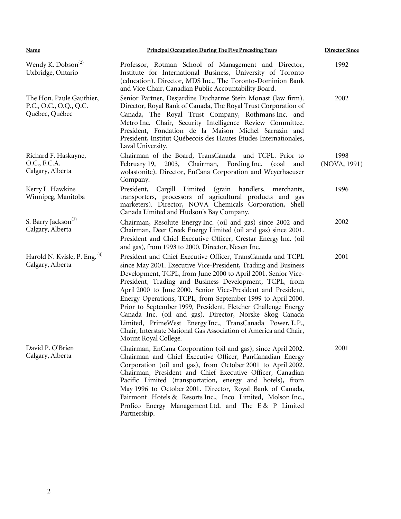| <b>Principal Occupation During The Five Preceding Years</b><br><b>Name</b> |                                                                                                                                                                                                                                                                                                                                                                                                                                                                                                                                                                                                                                                                               |                      |  |  |  |
|----------------------------------------------------------------------------|-------------------------------------------------------------------------------------------------------------------------------------------------------------------------------------------------------------------------------------------------------------------------------------------------------------------------------------------------------------------------------------------------------------------------------------------------------------------------------------------------------------------------------------------------------------------------------------------------------------------------------------------------------------------------------|----------------------|--|--|--|
| Wendy K. Dobson <sup>(2)</sup><br>Uxbridge, Ontario                        | Professor, Rotman School of Management and Director,<br>Institute for International Business, University of Toronto<br>(education). Director, MDS Inc., The Toronto-Dominion Bank<br>and Vice Chair, Canadian Public Accountability Board.                                                                                                                                                                                                                                                                                                                                                                                                                                    | 1992                 |  |  |  |
| The Hon. Paule Gauthier,<br>P.C., O.C., O.Q., Q.C.<br>Québec, Québec       | Senior Partner, Desjardins Ducharme Stein Monast (law firm).<br>Director, Royal Bank of Canada, The Royal Trust Corporation of<br>Canada, The Royal Trust Company, Rothmans Inc. and<br>Metro Inc. Chair, Security Intelligence Review Committee.<br>President, Fondation de la Maison Michel Sarrazin and<br>President, Institut Québecois des Hautes Études Internationales,<br>Laval University.                                                                                                                                                                                                                                                                           | 2002                 |  |  |  |
| Richard F. Haskayne,<br>O.C., F.C.A.<br>Calgary, Alberta                   | Chairman of the Board, TransCanada and TCPL. Prior to<br>Chairman,<br>Fording Inc.<br>February 19,<br>2003,<br>(coal)<br>and<br>wolastonite). Director, EnCana Corporation and Weyerhaeuser<br>Company.                                                                                                                                                                                                                                                                                                                                                                                                                                                                       | 1998<br>(NOVA, 1991) |  |  |  |
| Kerry L. Hawkins<br>Winnipeg, Manitoba                                     | President,<br>Cargill Limited (grain<br>handlers, merchants,<br>transporters, processors of agricultural products and gas<br>marketers). Director, NOVA Chemicals Corporation, Shell<br>Canada Limited and Hudson's Bay Company.                                                                                                                                                                                                                                                                                                                                                                                                                                              | 1996                 |  |  |  |
| S. Barry Jackson <sup>(3)</sup><br>Calgary, Alberta                        | Chairman, Resolute Energy Inc. (oil and gas) since 2002 and<br>Chairman, Deer Creek Energy Limited (oil and gas) since 2001.<br>President and Chief Executive Officer, Crestar Energy Inc. (oil<br>and gas), from 1993 to 2000. Director, Nexen Inc.                                                                                                                                                                                                                                                                                                                                                                                                                          | 2002                 |  |  |  |
| Harold N. Kvisle, P. Eng. (4)<br>Calgary, Alberta                          | President and Chief Executive Officer, TransCanada and TCPL<br>since May 2001. Executive Vice-President, Trading and Business<br>Development, TCPL, from June 2000 to April 2001. Senior Vice-<br>President, Trading and Business Development, TCPL, from<br>April 2000 to June 2000. Senior Vice-President and President,<br>Energy Operations, TCPL, from September 1999 to April 2000.<br>Prior to September 1999, President, Fletcher Challenge Energy<br>Canada Inc. (oil and gas). Director, Norske Skog Canada<br>Limited, PrimeWest Energy Inc., TransCanada Power, L.P.,<br>Chair, Interstate National Gas Association of America and Chair,<br>Mount Royal College. | 2001                 |  |  |  |
| David P. O'Brien<br>Calgary, Alberta                                       | Chairman, EnCana Corporation (oil and gas), since April 2002.<br>Chairman and Chief Executive Officer, PanCanadian Energy<br>Corporation (oil and gas), from October 2001 to April 2002.<br>Chairman, President and Chief Executive Officer, Canadian<br>Pacific Limited (transportation, energy and hotels), from<br>May 1996 to October 2001. Director, Royal Bank of Canada,<br>Fairmont Hotels & Resorts Inc., Inco Limited, Molson Inc.,<br>Profico Energy Management Ltd. and The E & P Limited<br>Partnership.                                                                                                                                                         | 2001                 |  |  |  |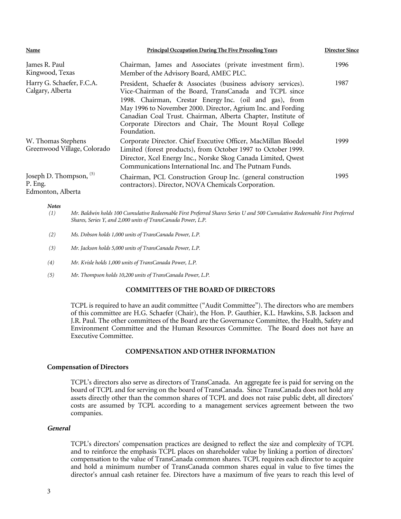| Name                                                      | <b>Principal Occupation During The Five Preceding Years</b>                                                                                                                                                                                                                                                                                                                                  | <b>Director Since</b> |  |
|-----------------------------------------------------------|----------------------------------------------------------------------------------------------------------------------------------------------------------------------------------------------------------------------------------------------------------------------------------------------------------------------------------------------------------------------------------------------|-----------------------|--|
| James R. Paul<br>Kingwood, Texas                          | Chairman, James and Associates (private investment firm).<br>Member of the Advisory Board, AMEC PLC.                                                                                                                                                                                                                                                                                         | 1996                  |  |
| Harry G. Schaefer, F.C.A.<br>Calgary, Alberta             | President, Schaefer & Associates (business advisory services).<br>Vice-Chairman of the Board, TransCanada and TCPL since<br>1998. Chairman, Crestar Energy Inc. (oil and gas), from<br>May 1996 to November 2000. Director, Agrium Inc. and Fording<br>Canadian Coal Trust. Chairman, Alberta Chapter, Institute of<br>Corporate Directors and Chair, The Mount Royal College<br>Foundation. | 1987                  |  |
| W. Thomas Stephens<br>Greenwood Village, Colorado         | Corporate Director. Chief Executive Officer, MacMillan Bloedel<br>Limited (forest products), from October 1997 to October 1999.<br>Director, Xcel Energy Inc., Norske Skog Canada Limited, Qwest<br>Communications International Inc. and The Putnam Funds.                                                                                                                                  | 1999                  |  |
| Joseph D. Thompson, $(5)$<br>P. Eng.<br>Edmonton, Alberta | Chairman, PCL Construction Group Inc. (general construction<br>contractors). Director, NOVA Chemicals Corporation.                                                                                                                                                                                                                                                                           | 1995                  |  |

*Notes* 

| (1) | Mr. Baldwin holds 100 Cumulative Redeemable First Preferred Shares Series U and 500 Cumulative Redeemable First Preferred |
|-----|---------------------------------------------------------------------------------------------------------------------------|
|     | Shares, Series Y, and 2,000 units of TransCanada Power, L.P.                                                              |

- *(2) Ms. Dobson holds 1,000 units of TransCanada Power, L.P.*
- *(3) Mr. Jackson holds 5,000 units of TransCanada Power, L.P.*
- *(4) Mr. Kvisle holds 1,000 units of TransCanada Power, L.P.*
- *(5) Mr. Thompson holds 10,200 units of TransCanada Power, L.P.*

# **COMMITTEES OF THE BOARD OF DIRECTORS**

TCPL is required to have an audit committee ("Audit Committee"). The directors who are members of this committee are H.G. Schaefer (Chair), the Hon. P. Gauthier, K.L. Hawkins, S.B. Jackson and J.R. Paul. The other committees of the Board are the Governance Committee, the Health, Safety and Environment Committee and the Human Resources Committee. The Board does not have an Executive Committee.

#### **COMPENSATION AND OTHER INFORMATION**

#### **Compensation of Directors**

 TCPL's directors also serve as directors of TransCanada. An aggregate fee is paid for serving on the board of TCPL and for serving on the board of TransCanada. Since TransCanada does not hold any assets directly other than the common shares of TCPL and does not raise public debt, all directors' costs are assumed by TCPL according to a management services agreement between the two companies.

#### *General*

 TCPL's directors' compensation practices are designed to reflect the size and complexity of TCPL and to reinforce the emphasis TCPL places on shareholder value by linking a portion of directors' compensation to the value of TransCanada common shares. TCPL requires each director to acquire and hold a minimum number of TransCanada common shares equal in value to five times the director's annual cash retainer fee. Directors have a maximum of five years to reach this level of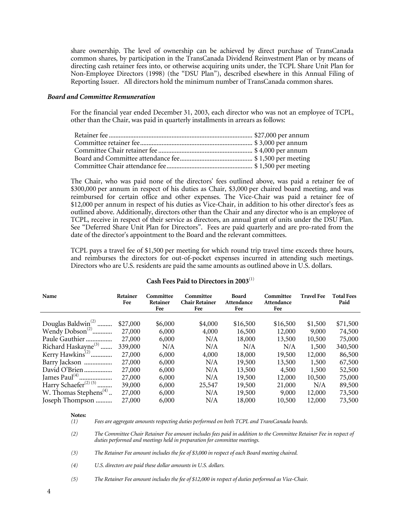share ownership. The level of ownership can be achieved by direct purchase of TransCanada common shares, by participation in the TransCanada Dividend Reinvestment Plan or by means of directing cash retainer fees into, or otherwise acquiring units under, the TCPL Share Unit Plan for Non-Employee Directors (1998) (the "DSU Plan"), described elsewhere in this Annual Filing of Reporting Issuer. All directors hold the minimum number of TransCanada common shares.

#### *Board and Committee Remuneration*

 For the financial year ended December 31, 2003, each director who was not an employee of TCPL, other than the Chair, was paid in quarterly installments in arrears as follows:

 The Chair, who was paid none of the directors' fees outlined above, was paid a retainer fee of \$300,000 per annum in respect of his duties as Chair, \$3,000 per chaired board meeting, and was reimbursed for certain office and other expenses. The Vice-Chair was paid a retainer fee of \$12,000 per annum in respect of his duties as Vice-Chair, in addition to his other director's fees as outlined above. Additionally, directors other than the Chair and any director who is an employee of TCPL, receive in respect of their service as directors, an annual grant of units under the DSU Plan. See "Deferred Share Unit Plan for Directors". Fees are paid quarterly and are pro-rated from the date of the director's appointment to the Board and the relevant committees.

 TCPL pays a travel fee of \$1,500 per meeting for which round trip travel time exceeds three hours, and reimburses the directors for out-of-pocket expenses incurred in attending such meetings. Directors who are U.S. residents are paid the same amounts as outlined above in U.S. dollars.

| Name                                      | Retainer<br>Fee | Committee<br>Retainer<br>Fee | Committee<br><b>Chair Retainer</b><br>Fee | <b>Board</b><br>Attendance<br>Fee | Committee<br>Attendance<br>Fee | <b>Travel Fee</b> | <b>Total Fees</b><br>Paid |
|-------------------------------------------|-----------------|------------------------------|-------------------------------------------|-----------------------------------|--------------------------------|-------------------|---------------------------|
|                                           |                 |                              |                                           |                                   |                                |                   |                           |
| Douglas Baldwin <sup>(2)</sup>            | \$27,000        | \$6,000                      | \$4,000                                   | \$16,500                          | \$16,500                       | \$1,500           | \$71,500                  |
| Wendy $Dobson(2)$                         | 27,000          | 6,000                        | 4,000                                     | 16,500                            | 12,000                         | 9,000             | 74,500                    |
| Paule Gauthier                            | 27,000          | 6,000                        | N/A                                       | 18,000                            | 13,500                         | 10,500            | 75,000                    |
| Richard Haskayne <sup>(3)</sup>           | 339,000         | N/A                          | N/A                                       | N/A                               | N/A                            | 1,500             | 340,500                   |
| Kerry Hawkins <sup><math>(2)</math></sup> | 27,000          | 6,000                        | 4,000                                     | 18,000                            | 19,500                         | 12,000            | 86,500                    |
| Barry Jackson                             | 27,000          | 6,000                        | N/A                                       | 19,500                            | 13,500                         | 1,500             | 67,500                    |
| David O'Brien                             | 27,000          | 6,000                        | N/A                                       | 13,500                            | 4,500                          | 1,500             | 52,500                    |
|                                           | 27,000          | 6,000                        | N/A                                       | 19,500                            | 12,000                         | 10,500            | 75,000                    |
| Harry Schaefer <sup>(2)(5)</sup>          | 39,000          | 6,000                        | 25,547                                    | 19,500                            | 21,000                         | N/A               | 89,500                    |
| W. Thomas Stephens <sup>(4)</sup>         | 27,000          | 6,000                        | N/A                                       | 19,500                            | 9,000                          | 12,000            | 73,500                    |
| Joseph Thompson                           | 27,000          | 6,000                        | N/A                                       | 18,000                            | 10,500                         | 12,000            | 73,500                    |

# **Cash Fees Paid to Directors in 2003**(1)

 **Notes:** 

 *(1) Fees are aggregate amounts respecting duties performed on both TCPL and TransCanada boards.* 

 *(2) The Committee Chair Retainer Fee amount includes fees paid in addition to the Committee Retainer Fee in respect of duties performed and meetings held in preparation for committee meetings.* 

 *(3) The Retainer Fee amount includes the fee of \$3,000 in respect of each Board meeting chaired.* 

 *(4) U.S. directors are paid these dollar amounts in U.S. dollars.* 

 *(5) The Retainer Fee amount includes the fee of \$12,000 in respect of duties performed as Vice-Chair.*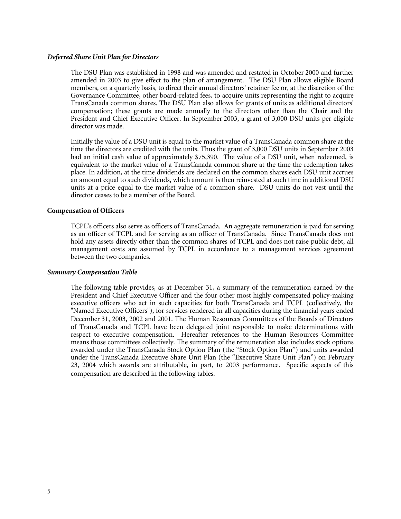#### *Deferred Share Unit Plan for Directors*

 The DSU Plan was established in 1998 and was amended and restated in October 2000 and further amended in 2003 to give effect to the plan of arrangement. The DSU Plan allows eligible Board members, on a quarterly basis, to direct their annual directors' retainer fee or, at the discretion of the Governance Committee, other board-related fees, to acquire units representing the right to acquire TransCanada common shares. The DSU Plan also allows for grants of units as additional directors' compensation; these grants are made annually to the directors other than the Chair and the President and Chief Executive Officer. In September 2003, a grant of 3,000 DSU units per eligible director was made.

Initially the value of a DSU unit is equal to the market value of a TransCanada common share at the time the directors are credited with the units. Thus the grant of 3,000 DSU units in September 2003 had an initial cash value of approximately \$75,390. The value of a DSU unit, when redeemed, is equivalent to the market value of a TransCanada common share at the time the redemption takes place. In addition, at the time dividends are declared on the common shares each DSU unit accrues an amount equal to such dividends, which amount is then reinvested at such time in additional DSU units at a price equal to the market value of a common share. DSU units do not vest until the director ceases to be a member of the Board.

#### **Compensation of Officers**

TCPL's officers also serve as officers of TransCanada. An aggregate remuneration is paid for serving as an officer of TCPL and for serving as an officer of TransCanada. Since TransCanada does not hold any assets directly other than the common shares of TCPL and does not raise public debt, all management costs are assumed by TCPL in accordance to a management services agreement between the two companies.

#### *Summary Compensation Table*

 The following table provides, as at December 31, a summary of the remuneration earned by the President and Chief Executive Officer and the four other most highly compensated policy-making executive officers who act in such capacities for both TransCanada and TCPL (collectively, the "Named Executive Officers"), for services rendered in all capacities during the financial years ended December 31, 2003, 2002 and 2001. The Human Resources Committees of the Boards of Directors of TransCanada and TCPL have been delegated joint responsible to make determinations with respect to executive compensation. Hereafter references to the Human Resources Committee means those committees collectively. The summary of the remuneration also includes stock options awarded under the TransCanada Stock Option Plan (the "Stock Option Plan") and units awarded under the TransCanada Executive Share Unit Plan (the "Executive Share Unit Plan") on February 23, 2004 which awards are attributable, in part, to 2003 performance. Specific aspects of this compensation are described in the following tables.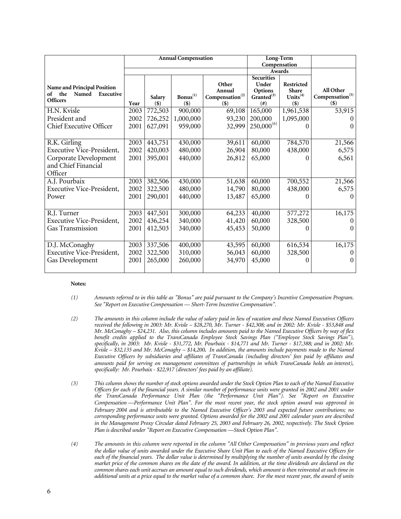|                                                                                          | <b>Annual Compensation</b> |                   |                                   | Long-Term<br>Compensation                                 |                                                                     |                                                      |                                                     |
|------------------------------------------------------------------------------------------|----------------------------|-------------------|-----------------------------------|-----------------------------------------------------------|---------------------------------------------------------------------|------------------------------------------------------|-----------------------------------------------------|
|                                                                                          |                            |                   |                                   |                                                           | Awards                                                              |                                                      |                                                     |
| <b>Name and Principal Position</b><br>the<br>Executive<br>Named<br>of<br><b>Officers</b> | Year                       | Salary<br>$($ \$) | $\mathbf{Bonus}^{(1)}$<br>$($ \$) | Other<br>Annual<br>Compensation <sup>(2)</sup><br>$($ \$) | <b>Securities</b><br>Under<br>Options<br>$G^{ranted^{(3)}}$<br>(# ) | Restricted<br><b>Share</b><br>Units $(4)$<br>$($ \$) | All Other<br>Compensation <sup>(5)</sup><br>$($ \$) |
| H.N. Kvisle                                                                              | 2003                       | 772,503           | 900,000                           | 69,108                                                    | 165,000                                                             | 1,961,538                                            | 53,915                                              |
| President and                                                                            | 2002                       | 726,252           | 1,000,000                         | 93,230                                                    | 200,000                                                             | 1,095,000                                            | $\Omega$                                            |
| <b>Chief Executive Officer</b>                                                           | 2001                       | 627,091           | 959,000                           | 32,999                                                    | $250,000^{(6)}$                                                     |                                                      | $\Omega$                                            |
| R.K. Girling                                                                             | 2003                       | 443,751           | 430,000                           | 39,611                                                    | 60,000                                                              | 784,570                                              | 21,566                                              |
| <b>Executive Vice-President,</b>                                                         | 2002                       | 420,003           | 480,000                           | 26,904                                                    | 80,000                                                              | 438,000                                              | 6,575                                               |
| Corporate Development<br>and Chief Financial<br>Officer                                  | 2001                       | 395,001           | 440,000                           | 26,812                                                    | 65,000                                                              |                                                      | 6,561                                               |
| A.J. Pourbaix                                                                            | 2003                       | 382,506           | 430,000                           | 51,638                                                    | 60,000                                                              | 700,552                                              | 21,566                                              |
| <b>Executive Vice-President,</b>                                                         | 2002                       | 322,500           | 480,000                           | 14,790                                                    | 80,000                                                              | 438,000                                              | 6,575                                               |
| Power                                                                                    | 2001                       | 290,001           | 440,000                           | 13,487                                                    | 65,000                                                              |                                                      | $\theta$                                            |
| R.J. Turner                                                                              | 2003                       | 447,501           | 300,000                           | 64,233                                                    | 40,000                                                              | 577,272                                              | 16,175                                              |
| <b>Executive Vice-President,</b>                                                         | 2002                       | 436,254           | 340,000                           | 41,420                                                    | 60,000                                                              | 328,500                                              | $\Omega$                                            |
| Gas Transmission                                                                         | 2001                       | 412,503           | 340,000                           | 45,453                                                    | 50,000                                                              | 0                                                    | $\Omega$                                            |
| D.J. McConaghy                                                                           | 2003                       | 337,506           | 400,000                           | 43,595                                                    | 60,000                                                              | 616,534                                              | 16,175                                              |
| <b>Executive Vice-President,</b>                                                         | 2002                       | 322,500           | 310,000                           | 56,043                                                    | 60,000                                                              | 328,500                                              | $\Omega$                                            |
| Gas Development                                                                          | 2001                       | 265,000           | 260,000                           | 34,970                                                    | 45,000                                                              |                                                      | $\Omega$                                            |

#### **Notes:**

- *(1) Amounts referred to in this table as "Bonus" are paid pursuant to the Company's Incentive Compensation Program. See "Report on Executive Compensation — Short-Term Incentive Compensation".*
- *(2) The amounts in this column include the value of salary paid in lieu of vacation and these Named Executives Officers received the following in 2003: Mr. Kvisle – \$28,270, Mr. Turner - \$42,308; and in 2002: Mr. Kvisle - \$53,848 and Mr. McConaghy – \$24,231. Also, this column includes amounts paid to the Named Executive Officers by way of flex*  benefit credits applied to the TransCanada Employee Stock Savings Plan ("Employee Stock Savings Plan"), *specifically, in 2003: Mr. Kvisle - \$31,772, Mr. Pourbaix - \$14,771 and Mr. Turner - \$17,388; and in 2002: Mr. Kvisle – \$32,135 and Mr. McConaghy – \$14,200. In addition, the amounts include payments made to the Named Executive Officers by subsidiaries and affiliates of TransCanada (including directors' fees paid by affiliates and amounts paid for serving on management committees of partnerships in which TransCanada holds an interest), specifically: Mr. Pourbaix - \$22,917 (directors' fees paid by an affiliate).*
- *(3) This column shows the number of stock options awarded under the Stock Option Plan to each of the Named Executive Officers for each of the financial years. A similar number of performance units were granted in 2002 and 2001 under the TransCanada Performance Unit Plan (the "Performance Unit Plan"). See "Report on Executive Compensation —Performance Unit Plan". For the most recent year, the stock option award was approved in February 2004 and is attributable to the Named Executive Officer's 2003 and expected future contributions; no corresponding performance units were granted. Options awarded for the 2002 and 2001 calendar years are described in the Management Proxy Circular dated February 25, 2003 and February 26, 2002, respectively. The Stock Option Plan is described under "Report on Executive Compensation —Stock Option Plan".*
- *(4) The amounts in this column were reported in the column "All Other Compensation" in previous years and reflect the dollar value of units awarded under the Executive Share Unit Plan to each of the Named Executive Officers for*  each of the financial years. The dollar value is determined by multiplying the number of units awarded by the closing *market price of the common shares on the date of the award. In addition, at the time dividends are declared on the common shares each unit accrues an amount equal to such dividends, which amount is then reinvested at such time in additional units at a price equal to the market value of a common share. For the most recent year, the award of units*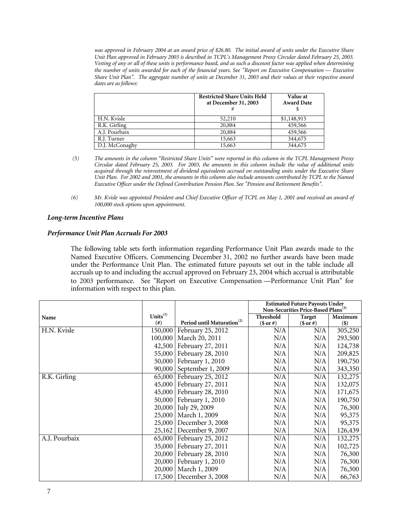*was approved in February 2004 at an award price of \$26.80. The initial award of units under the Executive Share Unit Plan approved in February 2003 is described in TCPL's Management Proxy Circular dated February 25, 2003. Vesting of any or all of these units is performance based, and as such a discount factor was applied when determining the number of units awarded for each of the financial years. See "Report on Executive Compensation — Executive Share Unit Plan". The aggregate number of units at December 31, 2003 and their values at their respective award dates are as follows:* 

|                | <b>Restricted Share Units Held</b><br>at December 31, 2003 | <b>Value at</b><br><b>Award Date</b> |
|----------------|------------------------------------------------------------|--------------------------------------|
| H.N. Kvisle    | 52,210                                                     | \$1,148,915                          |
| R.K. Girling   | 20,884                                                     | 459,566                              |
| A.J. Pourbaix  | 20,884                                                     | 459,566                              |
| R.J. Turner    | 15,663                                                     | 344,675                              |
| D.J. McConaghy | 15,663                                                     | 344,675                              |

- *(5) The amounts in the column "Restricted Share Units" were reported in this column in the TCPL Management Proxy Circular dated February 25, 2003. For 2003, the amounts in this column include the value of additional units acquired through the reinvestment of dividend equivalents accrued on outstanding units under the Executive Share Unit Plan. For 2002 and 2001, the amounts in this column also include amounts contributed by TCPL to the Named Executive Officer under the Defined Contribution Pension Plan. See "Pension and Retirement Benefits".*
- *(6) Mr. Kvisle was appointed President and Chief Executive Officer of TCPL on May 1, 2001 and received an award of 100,000 stock options upon appointment.*

# *Long-term Incentive Plans*

# *Performance Unit Plan Accruals For 2003*

 The following table sets forth information regarding Performance Unit Plan awards made to the Named Executive Officers. Commencing December 31, 2002 no further awards have been made under the Performance Unit Plan. The estimated future payouts set out in the table include all accruals up to and including the accrual approved on February 23, 2004 which accrual is attributable to 2003 performance. See "Report on Executive Compensation —Performance Unit Plan" for information with respect to this plan.

|               |                |                                        |                  | <b>Estimated Future Payouts Under</b><br>Non-Securities Price-Based Plans <sup>(3)</sup> |         |
|---------------|----------------|----------------------------------------|------------------|------------------------------------------------------------------------------------------|---------|
| Name          | Units $^{(1)}$ |                                        | <b>Threshold</b> | Target                                                                                   | Maximum |
|               | (# )           | Period until Maturation <sup>(2)</sup> | $($or\#)$        | $($or\#)$                                                                                | $($)$   |
| H.N. Kvisle   | 150,000        | February 25, 2012                      | N/A              | N/A                                                                                      | 305,250 |
|               | 100,000        | March 20, 2011                         | N/A              | N/A                                                                                      | 293,500 |
|               | 42,500         | February 27, 2011                      | N/A              | N/A                                                                                      | 124,738 |
|               | 55,000         | February 28, 2010                      | N/A              | N/A                                                                                      | 209,825 |
|               | 50,000         | February 1, 2010                       | N/A              | N/A                                                                                      | 190,750 |
|               | 90,000         | September 1, 2009                      | N/A              | N/A                                                                                      | 343,350 |
| R.K. Girling  | 65,000         | February 25, 2012                      | N/A              | N/A                                                                                      | 132,275 |
|               | 45,000         | February 27, 2011                      | N/A              | N/A                                                                                      | 132,075 |
|               | 45,000         | February 28, 2010                      | N/A              | N/A                                                                                      | 171,675 |
|               | 50,000         | February 1, 2010                       | N/A              | N/A                                                                                      | 190,750 |
|               | 20,000         | July 29, 2009                          | N/A              | N/A                                                                                      | 76,300  |
|               | 25,000         | March 1, 2009                          | N/A              | N/A                                                                                      | 95,375  |
|               | 25,000         | December 3, 2008                       | N/A              | N/A                                                                                      | 95,375  |
|               | 25,162         | December 9, 2007                       | N/A              | N/A                                                                                      | 126,439 |
| A.J. Pourbaix | 65,000         | February 25, 2012                      | N/A              | N/A                                                                                      | 132,275 |
|               | 35,000         | February 27, 2011                      | N/A              | N/A                                                                                      | 102,725 |
|               | 20,000         | February 28, 2010                      | N/A              | N/A                                                                                      | 76,300  |
|               | 20,000         | February 1, 2010                       | N/A              | N/A                                                                                      | 76,300  |
|               | 20,000         | March 1, 2009                          | N/A              | N/A                                                                                      | 76,300  |
|               |                | 17,500   December 3, 2008              | N/A              | N/A                                                                                      | 66,763  |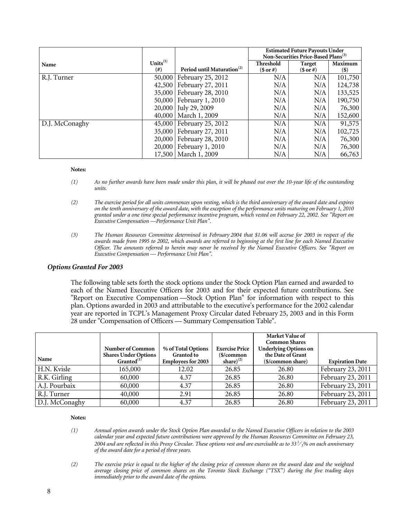|                |                |                                        | <b>Estimated Future Payouts Under</b>           |               |         |
|----------------|----------------|----------------------------------------|-------------------------------------------------|---------------|---------|
|                |                |                                        | Non-Securities Price-Based Plans <sup>(3)</sup> |               |         |
| Name           | Units $^{(1)}$ |                                        | <b>Threshold</b>                                | <b>Target</b> | Maximum |
|                | $^{(#)}$       | Period until Maturation <sup>(2)</sup> | $($or\#)$                                       | $($or\#)$     | $(\$)$  |
| R.J. Turner    |                | 50,000   February 25, 2012             | N/A                                             | N/A           | 101,750 |
|                |                | 42,500   February 27, 2011             | N/A                                             | N/A           | 124,738 |
|                |                | 35,000   February 28, 2010             | N/A                                             | N/A           | 133,525 |
|                |                | 50,000   February 1, 2010              | N/A                                             | N/A           | 190,750 |
|                |                | 20,000 July 29, 2009                   | N/A                                             | N/A           | 76,300  |
|                |                | 40,000   March 1, 2009                 | N/A                                             | N/A           | 152,600 |
| D.J. McConaghy |                | 45,000   February 25, 2012             | N/A                                             | N/A           | 91,575  |
|                |                | 35,000   February 27, 2011             | N/A                                             | N/A           | 102,725 |
|                |                | 20,000   February 28, 2010             | N/A                                             | N/A           | 76,300  |
|                |                | 20,000   February 1, 2010              | N/A                                             | N/A           | 76,300  |
|                |                | 17,500   March 1, 2009                 | N/A                                             | N/A           | 66,763  |

#### **Notes:**

- *(1) As no further awards have been made under this plan, it will be phased out over the 10-year life of the outstanding units.*
- *(2) The exercise period for all units commences upon vesting, which is the third anniversary of the award date and expires on the tenth anniversary of the award date, with the exception of the performance units maturing on February 1, 2010 granted under a one time special performance incentive program, which vested on February 22, 2002. See "Report on Executive Compensation —Performance Unit Plan".*
- *(3) The Human Resources Committee determined in February 2004 that \$1.06 will accrue for 2003 in respect of the awards made from 1995 to 2002, which awards are referred to beginning at the first line for each Named Executive Officer. The amounts referred to herein may never be received by the Named Executive Officers. See "Report on Executive Compensation — Performance Unit Plan".*

#### *Options Granted For 2003*

 The following table sets forth the stock options under the Stock Option Plan earned and awarded to each of the Named Executive Officers for 2003 and for their expected future contributions. See "Report on Executive Compensation —Stock Option Plan" for information with respect to this plan. Options awarded in 2003 and attributable to the executive's performance for the 2002 calendar year are reported in TCPL's Management Proxy Circular dated February 25, 2003 and in this Form 28 under "Compensation of Officers — Summary Compensation Table".

| Name           | Number of Common<br><b>Shares Under Options</b><br>Granted $(1)$ | % of Total Options<br><b>Granted to</b><br><b>Employees for 2003</b> | <b>Exercise Price</b><br>\$/common<br>share) $^{(2)}$ | Market Value of<br><b>Common Shares</b><br><b>Underlying Options on</b><br>the Date of Grant<br>(\$/common share) | <b>Expiration Date</b> |
|----------------|------------------------------------------------------------------|----------------------------------------------------------------------|-------------------------------------------------------|-------------------------------------------------------------------------------------------------------------------|------------------------|
| H.N. Kvisle    | 165,000                                                          | 12.02                                                                | 26.85                                                 | 26.80                                                                                                             | February 23, 2011      |
| R.K. Girling   | 60,000                                                           | 4.37                                                                 | 26.85                                                 | 26.80                                                                                                             | February 23, 2011      |
| A.J. Pourbaix  | 60,000                                                           | 4.37                                                                 | 26.85                                                 | 26.80                                                                                                             | February 23, 2011      |
| R.J. Turner    | 40,000                                                           | 2.91                                                                 | 26.85                                                 | 26.80                                                                                                             | February 23, 2011      |
| D.J. McConaghy | 60,000                                                           | 4.37                                                                 | 26.85                                                 | 26.80                                                                                                             | February 23, 2011      |

#### **Notes:**

 *(1) Annual option awards under the Stock Option Plan awarded to the Named Executive Officers in relation to the 2003 calendar year and expected future contributions were approved by the Human Resources Committee on February 23, 2004 and are reflected in this Proxy Circular. These options vest and are exercisable as to 33 1*<sup>⁄</sup> *3% on each anniversary of the award date for a period of three years.*

 *(2) The exercise price is equal to the higher of the closing price of common shares on the award date and the weighted average closing price of common shares on the Toronto Stock Exchange ("TSX") during the five trading days immediately prior to the award date of the options.*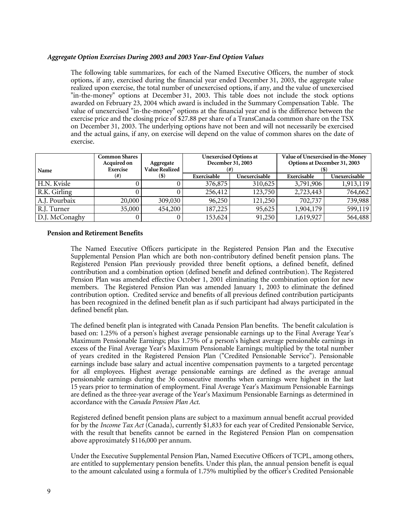# *Aggregate Option Exercises During 2003 and 2003 Year-End Option Values*

 The following table summarizes, for each of the Named Executive Officers, the number of stock options, if any, exercised during the financial year ended December 31, 2003, the aggregate value realized upon exercise, the total number of unexercised options, if any, and the value of unexercised "in-the-money" options at December 31, 2003. This table does not include the stock options awarded on February 23, 2004 which award is included in the Summary Compensation Table. The value of unexercised "in-the-money" options at the financial year end is the difference between the exercise price and the closing price of \$27.88 per share of a TransCanada common share on the TSX on December 31, 2003. The underlying options have not been and will not necessarily be exercised and the actual gains, if any, on exercise will depend on the value of common shares on the date of exercise.

| Name           | <b>Common Shares</b><br>Acquired on<br>Exercise | Aggregate<br><b>Value Realized</b> | <b>Unexercised Options at</b><br>December 31, 2003 |               | Value of Unexercised in-the-Money<br>Options at December 31, 2003 |               |
|----------------|-------------------------------------------------|------------------------------------|----------------------------------------------------|---------------|-------------------------------------------------------------------|---------------|
|                | (#)                                             | (\$)                               | Exercisable                                        | Unexercisable | Exercisable                                                       | Unexercisable |
| H.N. Kvisle    |                                                 |                                    | 376,875                                            | 310,625       | 3,791,906                                                         | 1,913,119     |
| R.K. Girling   |                                                 |                                    | 256,412                                            | 123,750       | 2,723,443                                                         | 764,662       |
| A.J. Pourbaix  | 20,000                                          | 309,030                            | 96,250                                             | 121,250       | 702,737                                                           | 739,988       |
| R.J. Turner    | 35,000                                          | 454,200                            | 187,225                                            | 95,625        | 1,904,179                                                         | 599,119       |
| D.J. McConaghy |                                                 |                                    | 153,624                                            | 91,250        | 1,619,927                                                         | 564,488       |

## **Pension and Retirement Benefits**

 The Named Executive Officers participate in the Registered Pension Plan and the Executive Supplemental Pension Plan which are both non-contributory defined benefit pension plans. The Registered Pension Plan previously provided three benefit options, a defined benefit, defined contribution and a combination option (defined benefit and defined contribution). The Registered Pension Plan was amended effective October 1, 2001 eliminating the combination option for new members. The Registered Pension Plan was amended January 1, 2003 to eliminate the defined contribution option. Credited service and benefits of all previous defined contribution participants has been recognized in the defined benefit plan as if such participant had always participated in the defined benefit plan.

The defined benefit plan is integrated with Canada Pension Plan benefits. The benefit calculation is based on: 1.25% of a person's highest average pensionable earnings up to the Final Average Year's Maximum Pensionable Earnings; plus 1.75% of a person's highest average pensionable earnings in excess of the Final Average Year's Maximum Pensionable Earnings; multiplied by the total number of years credited in the Registered Pension Plan ("Credited Pensionable Service"). Pensionable earnings include base salary and actual incentive compensation payments to a targeted percentage for all employees. Highest average pensionable earnings are defined as the average annual pensionable earnings during the 36 consecutive months when earnings were highest in the last 15 years prior to termination of employment. Final Average Year's Maximum Pensionable Earnings are defined as the three-year average of the Year's Maximum Pensionable Earnings as determined in accordance with the *Canada Pension Plan Act*.

 Registered defined benefit pension plans are subject to a maximum annual benefit accrual provided for by the *Income Tax Act* (Canada), currently \$1,833 for each year of Credited Pensionable Service, with the result that benefits cannot be earned in the Registered Pension Plan on compensation above approximately \$116,000 per annum.

 Under the Executive Supplemental Pension Plan, Named Executive Officers of TCPL, among others, are entitled to supplementary pension benefits. Under this plan, the annual pension benefit is equal to the amount calculated using a formula of 1.75% multiplied by the officer's Credited Pensionable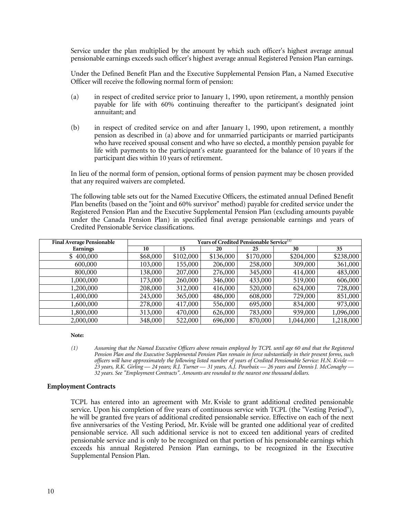Service under the plan multiplied by the amount by which such officer's highest average annual pensionable earnings exceeds such officer's highest average annual Registered Pension Plan earnings.

 Under the Defined Benefit Plan and the Executive Supplemental Pension Plan, a Named Executive Officer will receive the following normal form of pension:

- (a) in respect of credited service prior to January 1, 1990, upon retirement, a monthly pension payable for life with 60% continuing thereafter to the participant's designated joint annuitant; and
- (b) in respect of credited service on and after January 1, 1990, upon retirement, a monthly pension as described in (a) above and for unmarried participants or married participants who have received spousal consent and who have so elected, a monthly pension payable for life with payments to the participant's estate guaranteed for the balance of 10 years if the participant dies within 10 years of retirement.

 In lieu of the normal form of pension, optional forms of pension payment may be chosen provided that any required waivers are completed.

 The following table sets out for the Named Executive Officers, the estimated annual Defined Benefit Plan benefits (based on the "joint and 60% survivor" method) payable for credited service under the Registered Pension Plan and the Executive Supplemental Pension Plan (excluding amounts payable under the Canada Pension Plan) in specified final average pensionable earnings and years of Credited Pensionable Service classifications.

| <b>Final Average Pensionable</b> | Years of Credited Pensionable Service <sup>(1)</sup> |           |           |           |           |           |  |
|----------------------------------|------------------------------------------------------|-----------|-----------|-----------|-----------|-----------|--|
| <b>Earnings</b>                  | 10                                                   | 15        | 20        | 25        | 30        | 35        |  |
| \$400,000                        | \$68,000                                             | \$102,000 | \$136,000 | \$170,000 | \$204,000 | \$238,000 |  |
| 600,000                          | 103,000                                              | 155,000   | 206,000   | 258,000   | 309,000   | 361,000   |  |
| 800,000                          | 138,000                                              | 207,000   | 276,000   | 345,000   | 414,000   | 483,000   |  |
| 1,000,000                        | 173,000                                              | 260,000   | 346,000   | 433,000   | 519,000   | 606,000   |  |
| 1,200,000                        | 208,000                                              | 312,000   | 416,000   | 520,000   | 624,000   | 728,000   |  |
| 1,400,000                        | 243,000                                              | 365,000   | 486,000   | 608,000   | 729,000   | 851,000   |  |
| 1,600,000                        | 278,000                                              | 417,000   | 556,000   | 695,000   | 834,000   | 973,000   |  |
| 1,800,000                        | 313,000                                              | 470,000   | 626,000   | 783,000   | 939,000   | 1,096,000 |  |
| 2,000,000                        | 348,000                                              | 522,000   | 696,000   | 870,000   | 1,044,000 | 1,218,000 |  |

 **Note:** 

## **Employment Contracts**

 TCPL has entered into an agreement with Mr. Kvisle to grant additional credited pensionable service. Upon his completion of five years of continuous service with TCPL (the "Vesting Period"), he will be granted five years of additional credited pensionable service. Effective on each of the next five anniversaries of the Vesting Period, Mr. Kvisle will be granted one additional year of credited pensionable service. All such additional service is not to exceed ten additional years of credited pensionable service and is only to be recognized on that portion of his pensionable earnings which exceeds his annual Registered Pension Plan earnings, to be recognized in the Executive Supplemental Pension Plan.

 *<sup>(1)</sup> Assuming that the Named Executive Officers above remain employed by TCPL until age 60 and that the Registered Pension Plan and the Executive Supplemental Pension Plan remain in force substantially in their present forms, such officers will have approximately the following listed number of years of Credited Pensionable Service: H.N. Kvisle — 23 years, R.K. Girling — 24 years; R.J. Turner — 31 years, A.J. Pourbaix — 26 years and Dennis J. McConaghy — 32 years. See "Employment Contracts". Amounts are rounded to the nearest one thousand dollars.*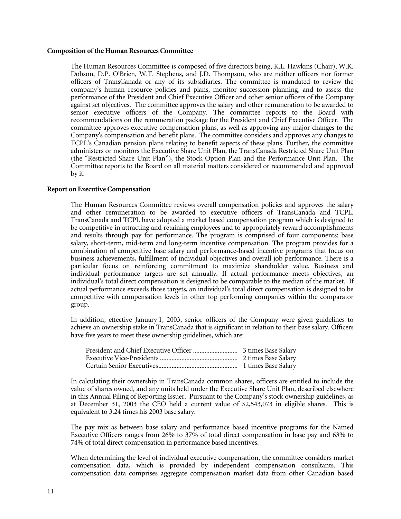#### **Composition of the Human Resources Committee**

 The Human Resources Committee is composed of five directors being, K.L. Hawkins (Chair), W.K. Dobson, D.P. O'Brien, W.T. Stephens, and J.D. Thompson, who are neither officers nor former officers of TransCanada or any of its subsidiaries. The committee is mandated to review the company's human resource policies and plans, monitor succession planning, and to assess the performance of the President and Chief Executive Officer and other senior officers of the Company against set objectives. The committee approves the salary and other remuneration to be awarded to senior executive officers of the Company. The committee reports to the Board with recommendations on the remuneration package for the President and Chief Executive Officer. The committee approves executive compensation plans, as well as approving any major changes to the Company's compensation and benefit plans. The committee considers and approves any changes to TCPL's Canadian pension plans relating to benefit aspects of these plans. Further, the committee administers or monitors the Executive Share Unit Plan, the TransCanada Restricted Share Unit Plan (the "Restricted Share Unit Plan"), the Stock Option Plan and the Performance Unit Plan. The Committee reports to the Board on all material matters considered or recommended and approved by it.

## **Report on Executive Compensation**

 The Human Resources Committee reviews overall compensation policies and approves the salary and other remuneration to be awarded to executive officers of TransCanada and TCPL. TransCanada and TCPL have adopted a market based compensation program which is designed to be competitive in attracting and retaining employees and to appropriately reward accomplishments and results through pay for performance. The program is comprised of four components: base salary, short-term, mid-term and long-term incentive compensation. The program provides for a combination of competitive base salary and performance-based incentive programs that focus on business achievements, fulfillment of individual objectives and overall job performance. There is a particular focus on reinforcing commitment to maximize shareholder value. Business and individual performance targets are set annually. If actual performance meets objectives, an individual's total direct compensation is designed to be comparable to the median of the market. If actual performance exceeds those targets, an individual's total direct compensation is designed to be competitive with compensation levels in other top performing companies within the comparator group.

 In addition, effective January 1, 2003, senior officers of the Company were given guidelines to achieve an ownership stake in TransCanada that is significant in relation to their base salary. Officers have five years to meet these ownership guidelines, which are:

 In calculating their ownership in TransCanada common shares, officers are entitled to include the value of shares owned, and any units held under the Executive Share Unit Plan, described elsewhere in this Annual Filing of Reporting Issuer. Pursuant to the Company's stock ownership guidelines, as at December 31, 2003 the CEO held a current value of \$2,543,073 in eligible shares. This is equivalent to 3.24 times his 2003 base salary.

 The pay mix as between base salary and performance based incentive programs for the Named Executive Officers ranges from 26% to 37% of total direct compensation in base pay and 63% to 74% of total direct compensation in performance based incentives.

 When determining the level of individual executive compensation, the committee considers market compensation data, which is provided by independent compensation consultants. This compensation data comprises aggregate compensation market data from other Canadian based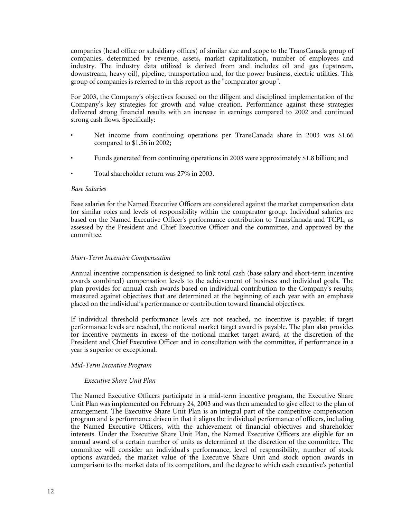companies (head office or subsidiary offices) of similar size and scope to the TransCanada group of companies, determined by revenue, assets, market capitalization, number of employees and industry. The industry data utilized is derived from and includes oil and gas (upstream, downstream, heavy oil), pipeline, transportation and, for the power business, electric utilities. This group of companies is referred to in this report as the "comparator group".

 For 2003, the Company's objectives focused on the diligent and disciplined implementation of the Company's key strategies for growth and value creation. Performance against these strategies delivered strong financial results with an increase in earnings compared to 2002 and continued strong cash flows. Specifically:

- Net income from continuing operations per TransCanada share in 2003 was \$1.66 compared to \$1.56 in 2002;
- Funds generated from continuing operations in 2003 were approximately \$1.8 billion; and
- Total shareholder return was 27% in 2003.

## *Base Salaries*

 Base salaries for the Named Executive Officers are considered against the market compensation data for similar roles and levels of responsibility within the comparator group. Individual salaries are based on the Named Executive Officer's performance contribution to TransCanada and TCPL, as assessed by the President and Chief Executive Officer and the committee, and approved by the committee.

# *Short-Term Incentive Compensation*

 Annual incentive compensation is designed to link total cash (base salary and short-term incentive awards combined) compensation levels to the achievement of business and individual goals. The plan provides for annual cash awards based on individual contribution to the Company's results, measured against objectives that are determined at the beginning of each year with an emphasis placed on the individual's performance or contribution toward financial objectives.

 If individual threshold performance levels are not reached, no incentive is payable; if target performance levels are reached, the notional market target award is payable. The plan also provides for incentive payments in excess of the notional market target award, at the discretion of the President and Chief Executive Officer and in consultation with the committee, if performance in a year is superior or exceptional.

## *Mid-Term Incentive Program*

## *Executive Share Unit Plan*

 The Named Executive Officers participate in a mid-term incentive program, the Executive Share Unit Plan was implemented on February 24, 2003 and was then amended to give effect to the plan of arrangement. The Executive Share Unit Plan is an integral part of the competitive compensation program and is performance driven in that it aligns the individual performance of officers, including the Named Executive Officers, with the achievement of financial objectives and shareholder interests. Under the Executive Share Unit Plan, the Named Executive Officers are eligible for an annual award of a certain number of units as determined at the discretion of the committee. The committee will consider an individual's performance, level of responsibility, number of stock options awarded, the market value of the Executive Share Unit and stock option awards in comparison to the market data of its competitors, and the degree to which each executive's potential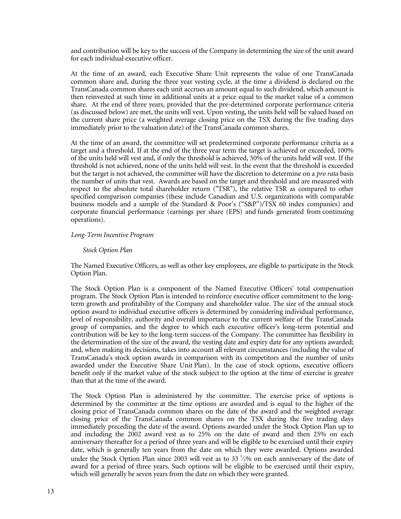and contribution will be key to the success of the Company in determining the size of the unit award for each individual executive officer.

 At the time of an award, each Executive Share Unit represents the value of one TransCanada common share and, during the three year vesting cycle, at the time a dividend is declared on the TransCanada common shares each unit accrues an amount equal to such dividend, which amount is then reinvested at such time in additional units at a price equal to the market value of a common share. At the end of three years, provided that the pre-determined corporate performance criteria (as discussed below) are met, the units will vest. Upon vesting, the units held will be valued based on the current share price (a weighted average closing price on the TSX during the five trading days immediately prior to the valuation date) of the TransCanada common shares.

 At the time of an award, the committee will set predetermined corporate performance criteria as a target and a threshold. If at the end of the three year term the target is achieved or exceeded, 100% of the units held will vest and, if only the threshold is achieved, 50% of the units held will vest. If the threshold is not achieved, none of the units held will vest. In the event that the threshold is exceeded but the target is not achieved, the committee will have the discretion to determine on a *pro rata* basis the number of units that vest. Awards are based on the target and threshold and are measured with respect to the absolute total shareholder return ("TSR"), the relative TSR as compared to other specified comparison companies (these include Canadian and U.S. organizations with comparable business models and a sample of the Standard & Poor's ("S&P")/TSX 60 index companies) and corporate financial performance (earnings per share (EPS) and funds generated from continuing operations).

## *Long-Term Incentive Program*

#### *Stock Option Plan*

 The Named Executive Officers, as well as other key employees, are eligible to participate in the Stock Option Plan.

 The Stock Option Plan is a component of the Named Executive Officers' total compensation program. The Stock Option Plan is intended to reinforce executive officer commitment to the longterm growth and profitability of the Company and shareholder value. The size of the annual stock option award to individual executive officers is determined by considering individual performance, level of responsibility, authority and overall importance to the current welfare of the TransCanada group of companies, and the degree to which each executive officer's long-term potential and contribution will be key to the long-term success of the Company. The committee has flexibility in the determination of the size of the award, the vesting date and expiry date for any options awarded; and, when making its decisions, takes into account all relevant circumstances (including the value of TransCanada's stock option awards in comparison with its competitors and the number of units awarded under the Executive Share Unit Plan). In the case of stock options, executive officers benefit only if the market value of the stock subject to the option at the time of exercise is greater than that at the time of the award.

 The Stock Option Plan is administered by the committee. The exercise price of options is determined by the committee at the time options are awarded and is equal to the higher of the closing price of TransCanada common shares on the date of the award and the weighted average closing price of the TransCanada common shares on the TSX during the five trading days immediately preceding the date of the award. Options awarded under the Stock Option Plan up to and including the 2002 award vest as to 25% on the date of award and then 25% on each anniversary thereafter for a period of three years and will be eligible to be exercised until their expiry date, which is generally ten years from the date on which they were awarded. Options awarded under the Stock Option Plan since 2003 will vest as to 33  $\frac{1}{3}$ % on each anniversary of the date of award for a period of three years. Such options will be eligible to be exercised until their expiry, which will generally be seven years from the date on which they were granted.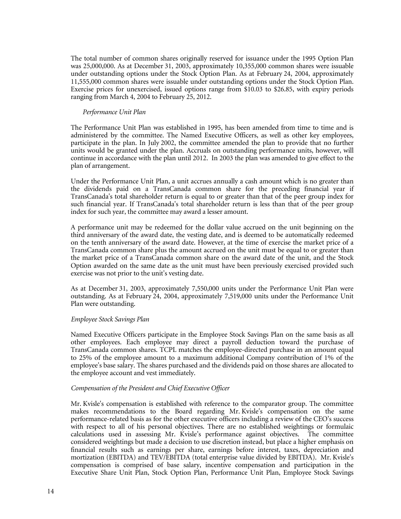The total number of common shares originally reserved for issuance under the 1995 Option Plan was 25,000,000. As at December 31, 2003, approximately 10,355,000 common shares were issuable under outstanding options under the Stock Option Plan. As at February 24, 2004, approximately 11,555,000 common shares were issuable under outstanding options under the Stock Option Plan. Exercise prices for unexercised, issued options range from \$10.03 to \$26.85, with expiry periods ranging from March 4, 2004 to February 25, 2012.

# *Performance Unit Plan*

 The Performance Unit Plan was established in 1995, has been amended from time to time and is administered by the committee. The Named Executive Officers, as well as other key employees, participate in the plan. In July 2002, the committee amended the plan to provide that no further units would be granted under the plan. Accruals on outstanding performance units, however, will continue in accordance with the plan until 2012. In 2003 the plan was amended to give effect to the plan of arrangement.

 Under the Performance Unit Plan, a unit accrues annually a cash amount which is no greater than the dividends paid on a TransCanada common share for the preceding financial year if TransCanada's total shareholder return is equal to or greater than that of the peer group index for such financial year. If TransCanada's total shareholder return is less than that of the peer group index for such year, the committee may award a lesser amount.

 A performance unit may be redeemed for the dollar value accrued on the unit beginning on the third anniversary of the award date, the vesting date, and is deemed to be automatically redeemed on the tenth anniversary of the award date. However, at the time of exercise the market price of a TransCanada common share plus the amount accrued on the unit must be equal to or greater than the market price of a TransCanada common share on the award date of the unit, and the Stock Option awarded on the same date as the unit must have been previously exercised provided such exercise was not prior to the unit's vesting date.

 As at December 31, 2003, approximately 7,550,000 units under the Performance Unit Plan were outstanding. As at February 24, 2004, approximately 7,519,000 units under the Performance Unit Plan were outstanding.

## *Employee Stock Savings Plan*

 Named Executive Officers participate in the Employee Stock Savings Plan on the same basis as all other employees. Each employee may direct a payroll deduction toward the purchase of TransCanada common shares. TCPL matches the employee-directed purchase in an amount equal to 25% of the employee amount to a maximum additional Company contribution of 1% of the employee's base salary. The shares purchased and the dividends paid on those shares are allocated to the employee account and vest immediately.

# *Compensation of the President and Chief Executive Officer*

 Mr. Kvisle's compensation is established with reference to the comparator group. The committee makes recommendations to the Board regarding Mr. Kvisle's compensation on the same performance-related basis as for the other executive officers including a review of the CEO's success with respect to all of his personal objectives. There are no established weightings or formulaic calculations used in assessing Mr. Kvisle's performance against objectives. The committee considered weightings but made a decision to use discretion instead, but place a higher emphasis on financial results such as earnings per share, earnings before interest, taxes, depreciation and mortization (EBITDA) and TEV/EBITDA (total enterprise value divided by EBITDA). Mr. Kvisle's compensation is comprised of base salary, incentive compensation and participation in the Executive Share Unit Plan, Stock Option Plan, Performance Unit Plan, Employee Stock Savings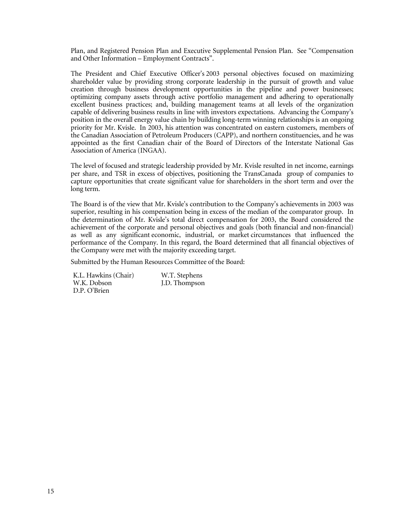Plan, and Registered Pension Plan and Executive Supplemental Pension Plan. See "Compensation and Other Information – Employment Contracts".

 The President and Chief Executive Officer's 2003 personal objectives focused on maximizing shareholder value by providing strong corporate leadership in the pursuit of growth and value creation through business development opportunities in the pipeline and power businesses; optimizing company assets through active portfolio management and adhering to operationally excellent business practices; and, building management teams at all levels of the organization capable of delivering business results in line with investors expectations. Advancing the Company's position in the overall energy value chain by building long-term winning relationships is an ongoing priority for Mr. Kvisle. In 2003, his attention was concentrated on eastern customers, members of the Canadian Association of Petroleum Producers (CAPP), and northern constituencies, and he was appointed as the first Canadian chair of the Board of Directors of the Interstate National Gas Association of America (INGAA).

 The level of focused and strategic leadership provided by Mr. Kvisle resulted in net income, earnings per share, and TSR in excess of objectives, positioning the TransCanada group of companies to capture opportunities that create significant value for shareholders in the short term and over the long term.

 The Board is of the view that Mr. Kvisle's contribution to the Company's achievements in 2003 was superior, resulting in his compensation being in excess of the median of the comparator group. In the determination of Mr. Kvisle's total direct compensation for 2003, the Board considered the achievement of the corporate and personal objectives and goals (both financial and non-financial) as well as any significant economic, industrial, or market circumstances that influenced the performance of the Company. In this regard, the Board determined that all financial objectives of the Company were met with the majority exceeding target.

Submitted by the Human Resources Committee of the Board:

 K.L. Hawkins (Chair) W.K. Dobson D.P. O'Brien W.T. Stephens J.D. Thompson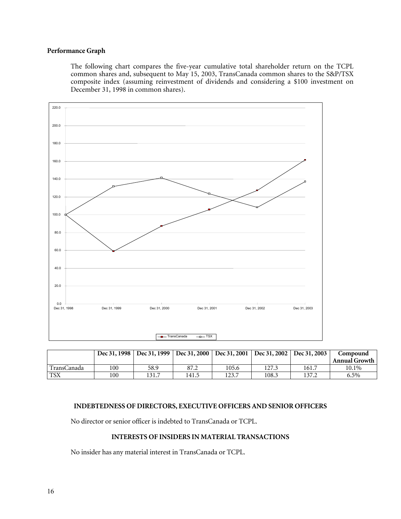# **Performance Graph**

 The following chart compares the five-year cumulative total shareholder return on the TCPL common shares and, subsequent to May 15, 2003, TransCanada common shares to the S&P/TSX composite index (assuming reinvestment of dividends and considering a \$100 investment on December 31, 1998 in common shares).



|             |     | Dec 31, 1998   Dec 31, 1999   Dec 31, 2000   Dec 31, 2001   Dec 31, 2002   Dec 31, 2003 |       |       |       |       | Compound             |
|-------------|-----|-----------------------------------------------------------------------------------------|-------|-------|-------|-------|----------------------|
|             |     |                                                                                         |       |       |       |       | <b>Annual Growth</b> |
| FransCanada | 100 | 58.9                                                                                    | 87.2  | 105.6 | 127.3 | 161.7 | 10.1%                |
| <b>TSX</b>  | 100 | 131.7                                                                                   | 141.5 | 123.7 | 108.3 | 137.2 | 6.5%                 |

# **INDEBTEDNESS OF DIRECTORS, EXECUTIVE OFFICERS AND SENIOR OFFICERS**

No director or senior officer is indebted to TransCanada or TCPL.

# **INTERESTS OF INSIDERS IN MATERIAL TRANSACTIONS**

No insider has any material interest in TransCanada or TCPL.